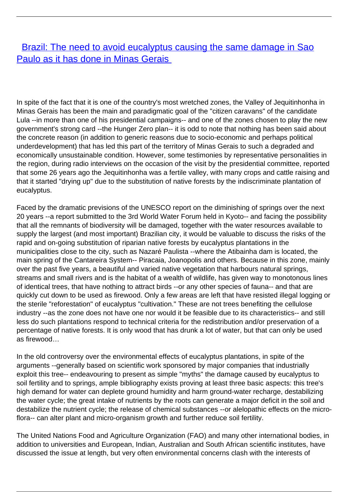## **[Brazil: The need to avoid eucalyptus causing the same damage in Sao](/bulletin-articles/brazil-the-need-to-avoid-eucalyptus-causing-the-same-damage-in-sao-paulo-as-it-has-done-in-minas-gerais)** [Paulo as it has done in Minas Gerais](/bulletin-articles/brazil-the-need-to-avoid-eucalyptus-causing-the-same-damage-in-sao-paulo-as-it-has-done-in-minas-gerais)

In spite of the fact that it is one of the country's most wretched zones, the Valley of Jequitinhonha in Minas Gerais has been the main and paradigmatic goal of the "citizen caravans" of the candidate Lula --in more than one of his presidential campaigns-- and one of the zones chosen to play the new government's strong card --the Hunger Zero plan-- it is odd to note that nothing has been said about the concrete reason (in addition to generic reasons due to socio-economic and perhaps political underdevelopment) that has led this part of the territory of Minas Gerais to such a degraded and economically unsustainable condition. However, some testimonies by representative personalities in the region, during radio interviews on the occasion of the visit by the presidential committee, reported that some 26 years ago the Jequitinhonha was a fertile valley, with many crops and cattle raising and that it started "drying up" due to the substitution of native forests by the indiscriminate plantation of eucalyptus.

Faced by the dramatic previsions of the UNESCO report on the diminishing of springs over the next 20 years --a report submitted to the 3rd World Water Forum held in Kyoto-- and facing the possibility that all the remnants of biodiversity will be damaged, together with the water resources available to supply the largest (and most important) Brazilian city, it would be valuable to discuss the risks of the rapid and on-going substitution of riparian native forests by eucalyptus plantations in the municipalities close to the city, such as Nazaré Paulista --where the Atibainha dam is located, the main spring of the Cantareira System-- Piracaia, Joanopolis and others. Because in this zone, mainly over the past five years, a beautiful and varied native vegetation that harbours natural springs, streams and small rivers and is the habitat of a wealth of wildlife, has given way to monotonous lines of identical trees, that have nothing to attract birds --or any other species of fauna-- and that are quickly cut down to be used as firewood. Only a few areas are left that have resisted illegal logging or the sterile "reforestation" of eucalyptus "cultivation." These are not trees benefiting the cellulose industry --as the zone does not have one nor would it be feasible due to its characteristics-- and still less do such plantations respond to technical criteria for the redistribution and/or preservation of a percentage of native forests. It is only wood that has drunk a lot of water, but that can only be used as firewood…

In the old controversy over the environmental effects of eucalyptus plantations, in spite of the arguments --generally based on scientific work sponsored by major companies that industrially exploit this tree-- endeavouring to present as simple "myths" the damage caused by eucalyptus to soil fertility and to springs, ample bibliography exists proving at least three basic aspects: this tree's high demand for water can deplete ground humidity and harm ground-water recharge, destabilizing the water cycle; the great intake of nutrients by the roots can generate a major deficit in the soil and destabilize the nutrient cycle; the release of chemical substances --or alelopathic effects on the microflora-- can alter plant and micro-organism growth and further reduce soil fertility.

The United Nations Food and Agriculture Organization (FAO) and many other international bodies, in addition to universities and European, Indian, Australian and South African scientific institutes, have discussed the issue at length, but very often environmental concerns clash with the interests of